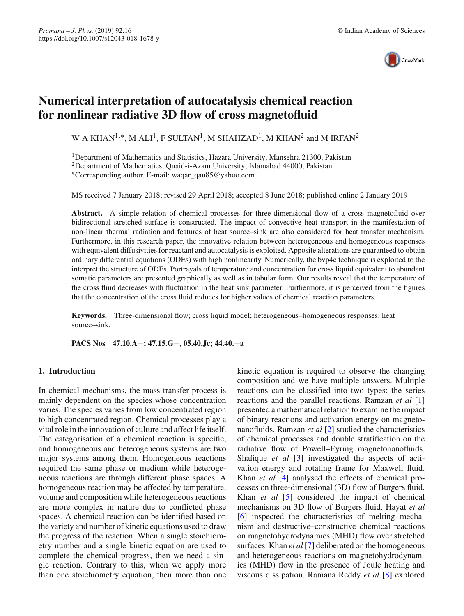

# **Numerical interpretation of autocatalysis chemical reaction for nonlinear radiative 3D flow of cross magnetofluid**

W A KHAN<sup>1,∗</sup>, M ALI<sup>1</sup>, F SULTAN<sup>1</sup>, M SHAHZAD<sup>1</sup>, M KHAN<sup>2</sup> and M IRFAN<sup>2</sup>

<sup>1</sup>Department of Mathematics and Statistics, Hazara University, Mansehra 21300, Pakistan 2Department of Mathematics, Quaid-i-Azam University, Islamabad 44000, Pakistan ∗Corresponding author. E-mail: waqar\_qau85@yahoo.com

MS received 7 January 2018; revised 29 April 2018; accepted 8 June 2018; published online 2 January 2019

Abstract. A simple relation of chemical processes for three-dimensional flow of a cross magnetofluid over bidirectional stretched surface is constructed. The impact of convective heat transport in the manifestation of non-linear thermal radiation and features of heat source–sink are also considered for heat transfer mechanism. Furthermore, in this research paper, the innovative relation between heterogeneous and homogeneous responses with equivalent diffusivities for reactant and autocatalysis is exploited. Apposite alterations are guaranteed to obtain ordinary differential equations (ODEs) with high nonlinearity. Numerically, the bvp4c technique is exploited to the interpret the structure of ODEs. Portrayals of temperature and concentration for cross liquid equivalent to abundant somatic parameters are presented graphically as well as in tabular form. Our results reveal that the temperature of the cross fluid decreases with fluctuation in the heat sink parameter. Furthermore, it is perceived from the figures that the concentration of the cross fluid reduces for higher values of chemical reaction parameters.

**Keywords.** Three-dimensional flow; cross liquid model; heterogeneous–homogeneous responses; heat source–sink.

**PACS Nos 47.10.A**−**; 47.15.G**−**, 05.40.Jc; 44.40.**+**a**

# **1. Introduction**

In chemical mechanisms, the mass transfer process is mainly dependent on the species whose concentration varies. The species varies from low concentrated region to high concentrated region. Chemical processes play a vital role in the innovation of culture and affect life itself. The categorisation of a chemical reaction is specific, and homogeneous and heterogeneous systems are two major systems among them. Homogeneous reactions required the same phase or medium while heterogeneous reactions are through different phase spaces. A homogeneous reaction may be affected by temperature, volume and composition while heterogeneous reactions are more complex in nature due to conflicted phase spaces. A chemical reaction can be identified based on the variety and number of kinetic equations used to draw the progress of the reaction. When a single stoichiometry number and a single kinetic equation are used to complete the chemical progress, then we need a single reaction. Contrary to this, when we apply more than one stoichiometry equation, then more than one kinetic equation is required to observe the changing composition and we have multiple answers. Multiple reactions can be classified into two types: the series reactions and the parallel reactions. Ramzan *et al* [\[1\]](#page-8-0) presented a mathematical relation to examine the impact of binary reactions and activation energy on magnetonanofluids. Ramzan *et al* [\[2\]](#page-8-1) studied the characteristics of chemical processes and double stratification on the radiative flow of Powell–Eyring magnetonanofluids. Shafique *et al* [\[3](#page-8-2)] investigated the aspects of activation energy and rotating frame for Maxwell fluid. Khan *et al* [\[4](#page-8-3)] analysed the effects of chemical processes on three-dimensional (3D) flow of Burgers fluid. Khan *et al* [\[5](#page-8-4)] considered the impact of chemical mechanisms on 3D flow of Burgers fluid. Hayat *et al* [\[6\]](#page-8-5) inspected the characteristics of melting mechanism and destructive–constructive chemical reactions on magnetohydrodynamics (MHD) flow over stretched surfaces. Khan *et al* [\[7](#page-8-6)] deliberated on the homogeneous and heterogeneous reactions on magnetohydrodynamics (MHD) flow in the presence of Joule heating and viscous dissipation. Ramana Reddy *et al* [\[8](#page-8-7)] explored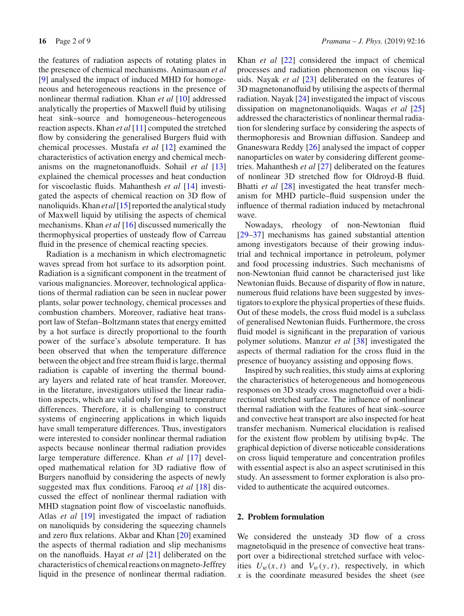the features of radiation aspects of rotating plates in the presence of chemical mechanisms. Animasaun *et al* [\[9\]](#page-8-8) analysed the impact of induced MHD for homogeneous and heterogeneous reactions in the presence of nonlinear thermal radiation. Khan *et al* [\[10](#page-8-9)] addressed analytically the properties of Maxwell fluid by utilising heat sink–source and homogeneous–heterogeneous reaction aspects. Khan *et al* [\[11](#page-8-10)] computed the stretched flow by considering the generalised Burgers fluid with chemical processes. Mustafa *et al* [\[12](#page-8-11)] examined the characteristics of activation energy and chemical mechanisms on the magnetonanofluids. Sohail *et al* [\[13\]](#page-8-12) explained the chemical processes and heat conduction for viscoelastic fluids. Mahanthesh *et al* [\[14](#page-8-13)] investigated the aspects of chemical reaction on 3D flow of nanoliquids. Khan *et al* [\[15](#page-8-14)] reported the analytical study of Maxwell liquid by utilising the aspects of chemical mechanisms. Khan *et al* [\[16](#page-8-15)] discussed numerically the thermophysical properties of unsteady flow of Carreau fluid in the presence of chemical reacting species.

Radiation is a mechanism in which electromagnetic waves spread from hot surface to its adsorption point. Radiation is a significant component in the treatment of various malignancies. Moreover, technological applications of thermal radiation can be seen in nuclear power plants, solar power technology, chemical processes and combustion chambers. Moreover, radiative heat transport law of Stefan–Boltzmann states that energy emitted by a hot surface is directly proportional to the fourth power of the surface's absolute temperature. It has been observed that when the temperature difference between the object and free stream fluid is large, thermal radiation is capable of inverting the thermal boundary layers and related rate of heat transfer. Moreover, in the literature, investigators utilised the linear radiation aspects, which are valid only for small temperature differences. Therefore, it is challenging to construct systems of engineering applications in which liquids have small temperature differences. Thus, investigators were interested to consider nonlinear thermal radiation aspects because nonlinear thermal radiation provides large temperature difference. Khan *et al* [\[17\]](#page-8-16) developed mathematical relation for 3D radiative flow of Burgers nanofluid by considering the aspects of newly suggested max flux conditions. Farooq *et al* [\[18](#page-8-17)] discussed the effect of nonlinear thermal radiation with MHD stagnation point flow of viscoelastic nanofluids. Atlas *et al* [\[19](#page-8-18)] investigated the impact of radiation on nanoliquids by considering the squeezing channels and zero flux relations. Akbar and Khan [\[20\]](#page-8-19) examined the aspects of thermal radiation and slip mechanisms on the nanofluids. Hayat *et al* [\[21](#page-8-20)] deliberated on the characteristics of chemical reactions on magneto-Jeffrey liquid in the presence of nonlinear thermal radiation. Khan *et al* [\[22\]](#page-8-21) considered the impact of chemical processes and radiation phenomenon on viscous liquids. Nayak *et al* [\[23\]](#page-8-22) deliberated on the features of 3D magnetonanofluid by utilising the aspects of thermal radiation. Nayak [\[24\]](#page-8-23) investigated the impact of viscous dissipation on magnetonanoliquids. Waqas *et al* [\[25\]](#page-8-24) addressed the characteristics of nonlinear thermal radiation for slendering surface by considering the aspects of thermophoresis and Brownian diffusion. Sandeep and Gnaneswara Reddy [\[26](#page-8-25)] analysed the impact of copper nanoparticles on water by considering different geometries. Mahanthesh *et al* [\[27](#page-8-26)] deliberated on the features of nonlinear 3D stretched flow for Oldroyd-B fluid. Bhatti *et al* [\[28](#page-8-27)] investigated the heat transfer mechanism for MHD particle–fluid suspension under the influence of thermal radiation induced by metachronal wave.

Nowadays, rheology of non-Newtonian fluid [\[29](#page-8-28)[–37\]](#page-8-29) mechanisms has gained substantial attention among investigators because of their growing industrial and technical importance in petroleum, polymer and food processing industries. Such mechanisms of non-Newtonian fluid cannot be characterised just like Newtonian fluids. Because of disparity of flow in nature, numerous fluid relations have been suggested by investigators to explore the physical properties of these fluids. Out of these models, the cross fluid model is a subclass of generalised Newtonian fluids. Furthermore, the cross fluid model is significant in the preparation of various polymer solutions. Manzur *et al* [\[38](#page-8-30)] investigated the aspects of thermal radiation for the cross fluid in the presence of buoyancy assisting and opposing flows.

Inspired by such realities, this study aims at exploring the characteristics of heterogeneous and homogeneous responses on 3D steady cross magnetofluid over a bidirectional stretched surface. The influence of nonlinear thermal radiation with the features of heat sink–source and convective heat transport are also inspected for heat transfer mechanism. Numerical elucidation is realised for the existent flow problem by utilising bvp4c. The graphical depiction of diverse noticeable considerations on cross liquid temperature and concentration profiles with essential aspect is also an aspect scrutinised in this study. An assessment to former exploration is also provided to authenticate the acquired outcomes.

## **2. Problem formulation**

We considered the unsteady 3D flow of a cross magnetoliquid in the presence of convective heat transport over a bidirectional stretched surface with velocities  $U_w(x, t)$  and  $V_w(y, t)$ , respectively, in which *x* is the coordinate measured besides the sheet (see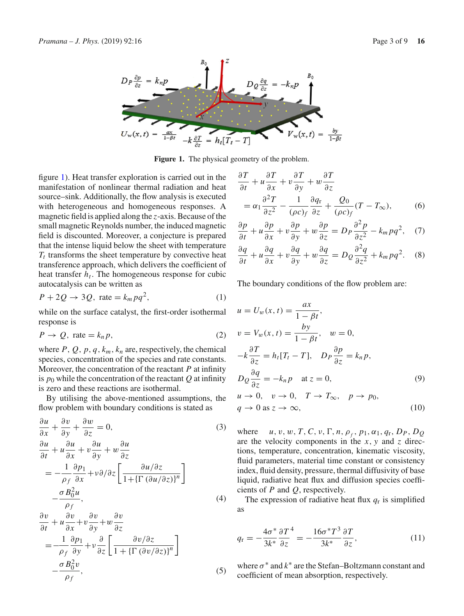

<span id="page-2-0"></span>**Figure 1.** The physical geometry of the problem.

figure [1\)](#page-2-0). Heat transfer exploration is carried out in the manifestation of nonlinear thermal radiation and heat source–sink. Additionally, the flow analysis is executed with heterogeneous and homogeneous responses. A magnetic field is applied along the *z*-axis. Because of the small magnetic Reynolds number, the induced magnetic field is discounted. Moreover, a conjecture is prepared that the intense liquid below the sheet with temperature  $T_t$  transforms the sheet temperature by convective heat transference approach, which delivers the coefficient of heat transfer  $h_t$ . The homogeneous response for cubic autocatalysis can be written as

$$
P + 2Q \rightarrow 3Q, \text{ rate} = k_m p q^2,
$$
 (1)

while on the surface catalyst, the first-order isothermal response is

$$
P \to Q, \text{ rate} = k_n p,
$$
\n<sup>(2)</sup>

where  $P$ ,  $Q$ ,  $p$ ,  $q$ ,  $k_m$ ,  $k_n$  are, respectively, the chemical species, concentration of the species and rate constants. Moreover, the concentration of the reactant *P* at infinity is  $p_0$  while the concentration of the reactant  $Q$  at infinity is zero and these reactions are isothermal.

By utilising the above-mentioned assumptions, the flow problem with boundary conditions is stated as

<span id="page-2-1"></span>
$$
\frac{\partial u}{\partial x} + \frac{\partial v}{\partial y} + \frac{\partial w}{\partial z} = 0,
$$
\n(3)  
\n
$$
\frac{\partial u}{\partial t} + u \frac{\partial u}{\partial x} + v \frac{\partial u}{\partial y} + w \frac{\partial u}{\partial z}
$$
\n
$$
= -\frac{1}{\rho_f} \frac{\partial p_1}{\partial x} + v \partial / \partial z \left[ \frac{\partial u / \partial z}{1 + {\{\Gamma (\partial u / \partial z)\}}^n} \right]
$$
\n
$$
- \frac{\sigma B_0^2 u}{\rho_f},
$$
\n(4)

$$
\frac{\partial v}{\partial t} + u \frac{\partial v}{\partial x} + v \frac{\partial v}{\partial y} + w \frac{\partial v}{\partial z} \n= -\frac{1}{\rho_f} \frac{\partial \rho_1}{\partial y} + v \frac{\partial}{\partial z} \left[ \frac{\partial v/\partial z}{1 + {\{\Gamma (\partial v/\partial z)\}}^n} \right] \n- \frac{\sigma B_0^2 v}{\rho_f},
$$
\n(5)

$$
\frac{\partial T}{\partial t} + u \frac{\partial T}{\partial x} + v \frac{\partial T}{\partial y} + w \frac{\partial T}{\partial z} \n= \alpha_1 \frac{\partial^2 T}{\partial z^2} - \frac{1}{(\rho c)_f} \frac{\partial q_r}{\partial z} + \frac{Q_0}{(\rho c)_f} (T - T_\infty),
$$
\n(6)

$$
\frac{\partial p}{\partial t} + u \frac{\partial p}{\partial x} + v \frac{\partial p}{\partial y} + w \frac{\partial p}{\partial z} = D_P \frac{\partial^2 p}{\partial z^2} - k_m p q^2, \quad (7)
$$

$$
\frac{\partial q}{\partial t} + u \frac{\partial q}{\partial x} + v \frac{\partial q}{\partial y} + w \frac{\partial q}{\partial z} = D_Q \frac{\partial^2 q}{\partial z^2} + k_m p q^2. \quad (8)
$$

The boundary conditions of the flow problem are:

<span id="page-2-2"></span>
$$
u = U_w(x, t) = \frac{ax}{1 - \beta t},
$$
  
\n
$$
v = V_w(x, t) = \frac{by}{1 - \beta t}, \quad w = 0,
$$
  
\n
$$
-k\frac{\partial T}{\partial z} = h_t[T_t - T], \quad D_P \frac{\partial p}{\partial z} = k_n p,
$$
  
\n
$$
D_Q \frac{\partial q}{\partial z} = -k_n p \quad \text{at } z = 0,
$$
  
\n
$$
u \to 0, \quad v \to 0, \quad T \to T_\infty, \quad p \to p_0,
$$
  
\n
$$
q \to 0 \text{ as } z \to \infty,
$$
  
\n(10)

where  $u, v, w, T, C, v, \Gamma, n, \rho_f, p_1, \alpha_1, q_r, D_P, D_Q$ are the velocity components in the *x*, *y* and *z* directions, temperature, concentration, kinematic viscosity, fluid parameters, material time constant or consistency index, fluid density, pressure, thermal diffusivity of base liquid, radiative heat flux and diffusion species coefficients of *P* and *Q*, respectively.

The expression of radiative heat flux *q*<sup>r</sup> is simplified as

$$
q_{\rm r} = -\frac{4\sigma^*}{3k^*} \frac{\partial T^4}{\partial z} = -\frac{16\sigma^* T^3}{3k^*} \frac{\partial T}{\partial z},\tag{11}
$$

where  $\sigma^*$  and  $k^*$  are the Stefan–Boltzmann constant and coefficient of mean absorption, respectively.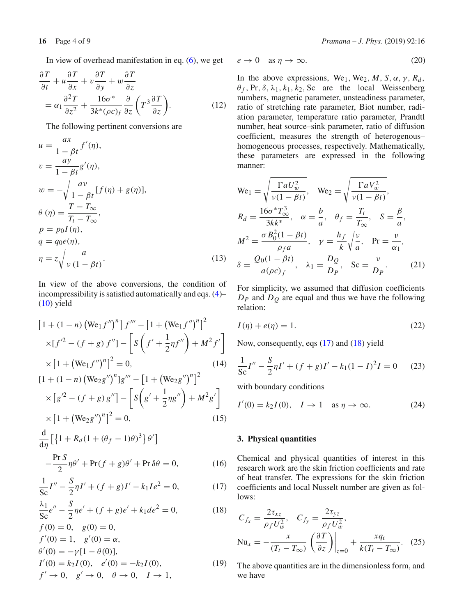$$
\frac{\partial T}{\partial t} + u \frac{\partial T}{\partial x} + v \frac{\partial T}{\partial y} + w \frac{\partial T}{\partial z} \n= \alpha_1 \frac{\partial^2 T}{\partial z^2} + \frac{16\sigma^*}{3k^*(\rho c)_f} \frac{\partial}{\partial z} \left( T^3 \frac{\partial T}{\partial z} \right).
$$
\n(12)

The following pertinent conversions are

$$
u = \frac{ax}{1 - \beta t} f'(\eta),
$$
  
\n
$$
v = \frac{ay}{1 - \beta t} g'(\eta),
$$
  
\n
$$
w = -\sqrt{\frac{av}{1 - \beta t}} [f(\eta) + g(\eta)],
$$
  
\n
$$
\theta(\eta) = \frac{T - T_{\infty}}{T_t - T_{\infty}},
$$
  
\n
$$
p = p_0 I(\eta),
$$
  
\n
$$
q = q_0 e(\eta),
$$
  
\n
$$
\eta = z \sqrt{\frac{a}{v(1 - \beta t)}}.
$$
\n(13)

In view of the above conversions, the condition of incompressibility is satisfied automatically and eqs. [\(4\)](#page-2-1)–  $(10)$  yield

<span id="page-3-0"></span>
$$
[1 + (1 - n) (We_1 f'')^n] f''' - [1 + (We_1 f'')^n]^2
$$
  
\n
$$
\times [f'^2 - (f + g) f''] - [S (f' + \frac{1}{2}nf'') + M^2 f']
$$
  
\n
$$
\times [1 + (We_1 f'')^n]^2 = 0,
$$
  
\n
$$
[1 + (1 - n) (We_2 g'')^n] g''' - [1 + (We_2 g'')^n]^2
$$
  
\n
$$
\times [g'^2 - (f + g) g''] - [S (g' + \frac{1}{2}ng'') + M^2 g']
$$
  
\n
$$
\times [1 + (We_2 g'')^n]^2 = 0,
$$
  
\n
$$
\frac{d}{d\eta} [1 + R_d(1 + (\theta_f - 1)\theta)^3] \theta']
$$

$$
-\frac{\Pr S}{2}\eta\theta' + \Pr(f+g)\theta' + \Pr \delta\theta = 0, \tag{16}
$$

$$
\frac{1}{\text{Sc}}I'' - \frac{S}{2}\eta I' + (f+g)I' - k_1 I e^2 = 0,\tag{17}
$$

$$
\frac{\lambda_1}{\text{Sc}}e'' - \frac{S}{2}\eta e' + (f+g)e' + k_1de^2 = 0,\tag{18}
$$

$$
f(0) = 0, \quad g(0) = 0,
$$
  
\n
$$
f'(0) = 1, \quad g'(0) = \alpha,
$$
  
\n
$$
\theta'(0) = -\gamma[1 - \theta(0)],
$$
  
\n
$$
I'(0) = k_2 I(0), \quad e'(0) = -k_2 I(0),
$$
  
\n
$$
f' \to 0, \quad g' \to 0, \quad \theta \to 0, \quad I \to 1,
$$
\n(19)

$$
e \to 0 \quad \text{as } \eta \to \infty. \tag{20}
$$

In the above expressions, We<sub>1</sub>, We<sub>2</sub>, *M*, *S*,  $\alpha$ ,  $\gamma$ ,  $R_d$ ,  $\theta_f$ , Pr,  $\delta$ ,  $\lambda_1$ ,  $k_1$ ,  $k_2$ , Sc are the local Weissenberg numbers, magnetic parameter, unsteadiness parameter, ratio of stretching rate parameter, Biot number, radiation parameter, temperature ratio parameter, Prandtl number, heat source–sink parameter, ratio of diffusion coefficient, measures the strength of heterogenous– homogeneous processes, respectively. Mathematically, these parameters are expressed in the following manner:

We<sub>1</sub> = 
$$
\sqrt{\frac{\Gamma a U_w^2}{\nu (1 - \beta t)}},
$$
 We<sub>2</sub> =  $\sqrt{\frac{\Gamma a V_w^2}{\nu (1 - \beta t)}},$   
\n $R_d = \frac{16\sigma^* T_\infty^3}{3kk^*},$   $\alpha = \frac{b}{a},$   $\theta_f = \frac{T_t}{T_\infty},$   $S = \frac{\beta}{a},$   
\n $M^2 = \frac{\sigma B_0^2 (1 - \beta t)}{\rho_f a},$   $\gamma = \frac{h_f}{k} \sqrt{\frac{\nu}{a}},$   $Pr = \frac{\nu}{\alpha_1},$   
\n $\delta = \frac{Q_0 (1 - \beta t)}{a(\rho c)_f},$   $\lambda_1 = \frac{D_Q}{D_P},$   $Sc = \frac{\nu}{D_P}.$  (21)

For simplicity, we assumed that diffusion coefficients *DP* and *DQ* are equal and thus we have the following relation:

$$
I(\eta) + e(\eta) = 1.
$$
\n<sup>(22)</sup>

Now, consequently, eqs [\(17\)](#page-3-0) and [\(18\)](#page-3-0) yield

$$
\frac{1}{\text{Sc}}I'' - \frac{S}{2}\eta I' + (f+g)I' - k_1(1-I)^2I = 0 \tag{23}
$$

with boundary conditions

$$
I'(0) = k_2 I(0), \quad I \to 1 \quad \text{as } \eta \to \infty. \tag{24}
$$

# **3. Physical quantities**

Chemical and physical quantities of interest in this research work are the skin friction coefficients and rate of heat transfer. The expressions for the skin friction coefficients and local Nusselt number are given as follows:

$$
C_{f_x} = \frac{2\tau_{xz}}{\rho_f U_w^2}, \quad C_{f_y} = \frac{2\tau_{yz}}{\rho_f U_w^2},
$$
  
\n
$$
Nu_x = -\frac{x}{(T_t - T_\infty)} \left(\frac{\partial T}{\partial z}\right)\Big|_{z=0} + \frac{xq_r}{k(T_t - T_\infty)}.
$$
 (25)

The above quantities are in the dimensionless form, and we have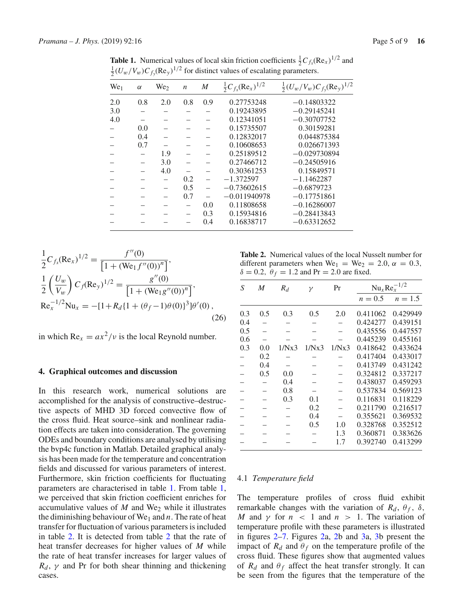| $\boldsymbol{M}$<br>0.9 | $\frac{1}{2}C_{f_x}(\text{Re}_x)^{1/2}$<br>0.27753248 | $\frac{1}{2}(U_w/V_w)C_{f_v}(\text{Re}_y)^{1/2}$<br>$-0.14803322$ |
|-------------------------|-------------------------------------------------------|-------------------------------------------------------------------|
|                         |                                                       |                                                                   |
|                         |                                                       |                                                                   |
|                         |                                                       | $-0.29145241$                                                     |
|                         | 0.12341051                                            | $-0.30707752$                                                     |
|                         | 0.15735507                                            | 0.30159281                                                        |
|                         | 0.12832017                                            | 0.044875384                                                       |
|                         | 0.10608653                                            | 0.026671393                                                       |
|                         | 0.25189512                                            | $-0.029730894$                                                    |
|                         | 0.27466712                                            | $-0.24505916$                                                     |
|                         | 0.30361253                                            | 0.15849571                                                        |
|                         | $-1.372597$                                           | $-1.1462287$                                                      |
|                         | $-0.73602615$                                         | $-0.6879723$                                                      |
|                         | $-0.011940978$                                        | $-0.17751861$                                                     |
| 0.0                     | 0.11808658                                            | $-0.16286007$                                                     |
| 0.3                     | 0.15934816                                            | $-0.28413843$                                                     |
| 0.4                     | 0.16838717                                            | $-0.63312652$                                                     |
|                         |                                                       | 0.19243895                                                        |

<span id="page-4-0"></span>**Table 1.** Numerical values of local skin friction coefficients  $\frac{1}{2}C_{f_x}(\text{Re}_x)^{1/2}$  and  $\frac{1}{2}(U_w/V_w)C_{f_y}(\text{Re}_y)^{1/2}$  for distinct values of escalating parameters.

$$
\frac{1}{2}C_{f_x}(\text{Re}_x)^{1/2} = \frac{f''(0)}{[1 + (\text{We}_1 f''(0))^n]},
$$
\n
$$
\frac{1}{2}\left(\frac{U_w}{V_w}\right)C_f(\text{Re}_y)^{1/2} = \frac{g''(0)}{[1 + (\text{We}_1 g''(0))^n]},
$$
\n
$$
\text{Re}_x^{-1/2}\text{Nu}_x = -[1 + R_d\{1 + (\theta_f - 1)\theta(0)\}^3]\theta'(0),
$$
\n(26)

in which  $Re_x = ax^2/v$  is the local Reynold number.

#### **4. Graphical outcomes and discussion**

In this research work, numerical solutions are accomplished for the analysis of constructive–destructive aspects of MHD 3D forced convective flow of the cross fluid. Heat source–sink and nonlinear radiation effects are taken into consideration. The governing ODEs and boundary conditions are analysed by utilising the bvp4c function in Matlab. Detailed graphical analysis has been made for the temperature and concentration fields and discussed for various parameters of interest. Furthermore, skin friction coefficients for fluctuating parameters are characterised in table [1.](#page-4-0) From table [1,](#page-4-0) we perceived that skin friction coefficient enriches for accumulative values of  $M$  and We<sub>2</sub> while it illustrates the diminishing behaviour of We<sub>1</sub> and  $n$ . The rate of heat transfer for fluctuation of various parameters is included in table [2.](#page-4-1) It is detected from table [2](#page-4-1) that the rate of heat transfer decreases for higher values of *M* while the rate of heat transfer increases for larger values of  $R_d$ ,  $\gamma$  and Pr for both shear thinning and thickening cases.

<span id="page-4-1"></span>**Table 2.** Numerical values of the local Nusselt number for different parameters when  $We_1 = We_2 = 2.0, \alpha = 0.3$ ,  $\delta = 0.2$ ,  $\theta_f = 1.2$  and Pr = 2.0 are fixed.

| S   | M   | $R_d$ | γ     | Pr    | $Nu_x Re_x^{-1/2}$ |           |
|-----|-----|-------|-------|-------|--------------------|-----------|
|     |     |       |       |       | $n = 0.5$          | $n = 1.5$ |
| 0.3 | 0.5 | 0.3   | 0.5   | 2.0   | 0.411062           | 0.429949  |
| 0.4 |     |       |       |       | 0.424277           | 0.439151  |
| 0.5 |     |       |       |       | 0.435556           | 0.447557  |
| 0.6 |     |       |       |       | 0.445239           | 0.455161  |
| 0.3 | 0.0 | 1/Nx3 | 1/Nx3 | 1/Nx3 | 0.418642           | 0.433624  |
|     | 0.2 |       |       |       | 0.417404           | 0.433017  |
|     | 0.4 |       |       |       | 0.413749           | 0.431242  |
|     | 0.5 | 0.0   |       |       | 0.324812           | 0.337217  |
|     |     | 0.4   |       |       | 0.438037           | 0.459293  |
|     |     | 0.8   |       |       | 0.537834           | 0.569123  |
|     |     | 0.3   | 0.1   |       | 0.116831           | 0.118229  |
|     |     |       | 0.2   |       | 0.211790           | 0.216517  |
|     |     |       | 0.4   |       | 0.355621           | 0.369532  |
|     |     |       | 0.5   | 1.0   | 0.328768           | 0.352512  |
|     |     |       |       | 1.3   | 0.360871           | 0.383626  |
|     |     |       |       | 1.7   | 0.392740           | 0.413299  |

#### 4.1 *Temperature field*

The temperature profiles of cross fluid exhibit remarkable changes with the variation of  $R_d$ ,  $\theta_f$ ,  $\delta$ , *M* and  $\gamma$  for  $n < 1$  and  $n > 1$ . The variation of temperature profile with these parameters is illustrated in figures [2–](#page-5-0)[7.](#page-6-0) Figures [2a](#page-5-0), [2b](#page-5-0) and [3a](#page-5-1), [3b](#page-5-1) present the impact of  $R_d$  and  $\theta_f$  on the temperature profile of the cross fluid. These figures show that augmented values of  $R_d$  and  $\theta_f$  affect the heat transfer strongly. It can be seen from the figures that the temperature of the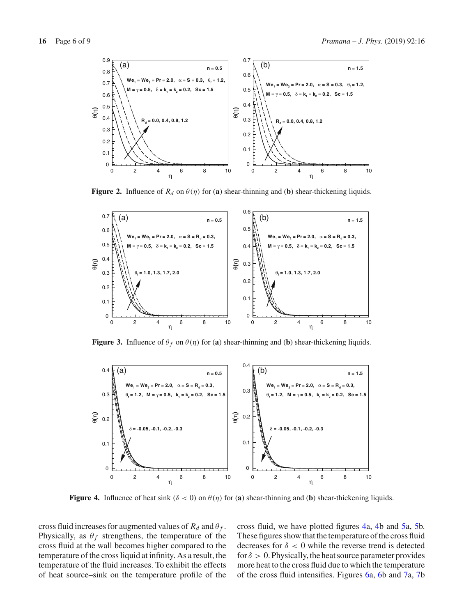

<span id="page-5-0"></span>**Figure 2.** Influence of  $R_d$  on  $\theta(\eta)$  for (a) shear-thinning and (b) shear-thickening liquids.



<span id="page-5-1"></span>**Figure 3.** Influence of  $\theta_f$  on  $\theta(\eta)$  for (a) shear-thinning and (b) shear-thickening liquids.



<span id="page-5-2"></span>**Figure 4.** Influence of heat sink ( $\delta < 0$ ) on  $\theta(\eta)$  for (**a**) shear-thinning and (**b**) shear-thickening liquids.

cross fluid increases for augmented values of  $R_d$  and  $\theta_f$ . Physically, as  $\theta_f$  strengthens, the temperature of the cross fluid at the wall becomes higher compared to the temperature of the cross liquid at infinity. As a result, the temperature of the fluid increases. To exhibit the effects of heat source–sink on the temperature profile of the cross fluid, we have plotted figures [4a](#page-5-2), [4b](#page-5-2) and [5a](#page-6-1), [5b](#page-6-1). These figures show that the temperature of the cross fluid decreases for  $\delta$  < 0 while the reverse trend is detected for  $\delta > 0$ . Physically, the heat source parameter provides more heat to the cross fluid due to which the temperature of the cross fluid intensifies. Figures [6a](#page-6-2), [6b](#page-6-2) and [7a](#page-6-0), [7b](#page-6-0)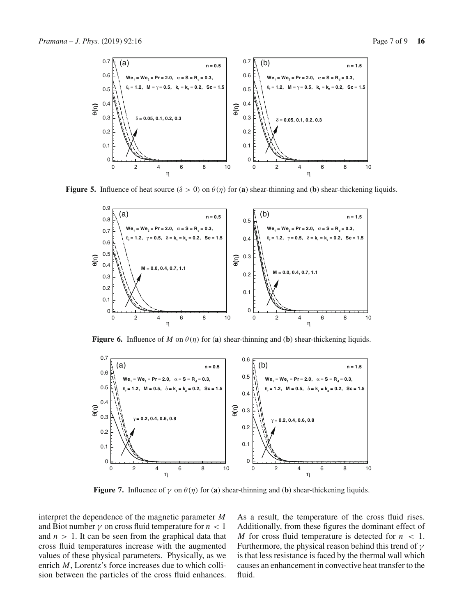

**Figure 5.** Influence of heat source  $(\delta > 0)$  on  $\theta(\eta)$  for (**a**) shear-thinning and (**b**) shear-thickening liquids.

<span id="page-6-1"></span>

<span id="page-6-2"></span>**Figure 6.** Influence of *M* on  $\theta(\eta)$  for (a) shear-thinning and (b) shear-thickening liquids.



<span id="page-6-0"></span>**Figure 7.** Influence of  $\gamma$  on  $\theta(\eta)$  for (a) shear-thinning and (b) shear-thickening liquids.

interpret the dependence of the magnetic parameter *M* and Biot number  $\gamma$  on cross fluid temperature for  $n < 1$ and  $n > 1$ . It can be seen from the graphical data that cross fluid temperatures increase with the augmented values of these physical parameters. Physically, as we enrich *M*, Lorentz's force increases due to which collision between the particles of the cross fluid enhances. As a result, the temperature of the cross fluid rises. Additionally, from these figures the dominant effect of *M* for cross fluid temperature is detected for *n* < 1. Furthermore, the physical reason behind this trend of  $\gamma$ is that less resistance is faced by the thermal wall which causes an enhancement in convective heat transfer to the fluid.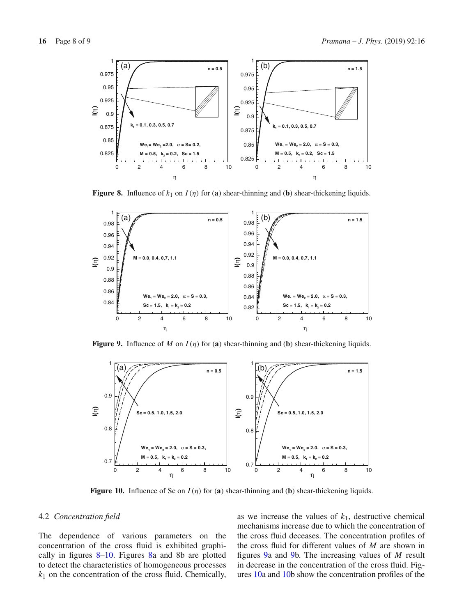

<span id="page-7-0"></span>**Figure 8.** Influence of  $k_1$  on  $I(\eta)$  for (a) shear-thinning and (b) shear-thickening liquids.



<span id="page-7-2"></span>**Figure 9.** Influence of *M* on  $I(\eta)$  for (a) shear-thinning and (b) shear-thickening liquids.



<span id="page-7-1"></span>**Figure 10.** Influence of Sc on *I*(η) for (**a**) shear-thinning and (**b**) shear-thickening liquids.

#### 4.2 *Concentration field*

The dependence of various parameters on the concentration of the cross fluid is exhibited graphically in figures [8](#page-7-0)[–10.](#page-7-1) Figures [8a](#page-7-0) and 8b are plotted to detect the characteristics of homogeneous processes  $k_1$  on the concentration of the cross fluid. Chemically, as we increase the values of  $k_1$ , destructive chemical mechanisms increase due to which the concentration of the cross fluid deceases. The concentration profiles of the cross fluid for different values of *M* are shown in figures [9a](#page-7-2) and [9b](#page-7-2). The increasing values of *M* result in decrease in the concentration of the cross fluid. Figures [10a](#page-7-1) and [10b](#page-7-1) show the concentration profiles of the